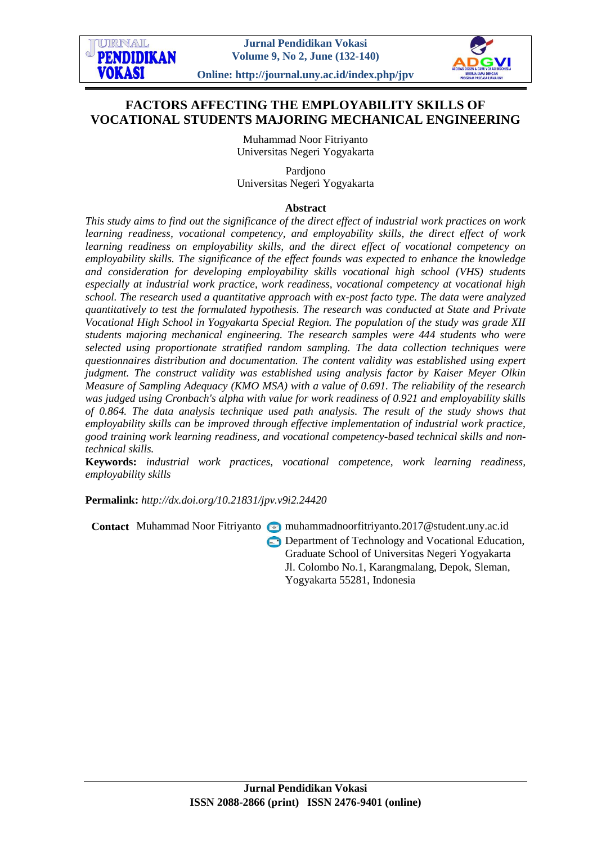# **FACTORS AFFECTING THE EMPLOYABILITY SKILLS OF VOCATIONAL STUDENTS MAJORING MECHANICAL ENGINEERING**

Muhammad Noor Fitriyanto Universitas Negeri Yogyakarta

Pardjono Universitas Negeri Yogyakarta

### **Abstract**

*This study aims to find out the significance of the direct effect of industrial work practices on work learning readiness, vocational competency, and employability skills, the direct effect of work learning readiness on employability skills, and the direct effect of vocational competency on employability skills. The significance of the effect founds was expected to enhance the knowledge and consideration for developing employability skills vocational high school (VHS) students especially at industrial work practice, work readiness, vocational competency at vocational high school. The research used a quantitative approach with ex-post facto type. The data were analyzed quantitatively to test the formulated hypothesis. The research was conducted at State and Private Vocational High School in Yogyakarta Special Region. The population of the study was grade XII students majoring mechanical engineering. The research samples were 444 students who were selected using proportionate stratified random sampling. The data collection techniques were questionnaires distribution and documentation. The content validity was established using expert judgment. The construct validity was established using analysis factor by Kaiser Meyer Olkin Measure of Sampling Adequacy (KMO MSA) with a value of 0.691. The reliability of the research was judged using Cronbach's alpha with value for work readiness of 0.921 and employability skills of 0.864. The data analysis technique used path analysis. The result of the study shows that employability skills can be improved through effective implementation of industrial work practice, good training work learning readiness, and vocational competency-based technical skills and nontechnical skills.*

**Keywords:** *industrial work practices, vocational competence, work learning readiness, employability skills*

**Permalink:** *http://dx.doi.org[/10.21831/jpv.v9i2.24420](http://dx.doi.org/10.21831/jpv.v9i2.24420)*

**Contact** Muhammad Noor Fitriyanto muhammadnoorfitriyanto.2017@student.uny.ac.id **Department of Technology and Vocational Education,** Graduate School of Universitas Negeri Yogyakarta Jl. Colombo No.1, Karangmalang, Depok, Sleman, Yogyakarta 55281, Indonesia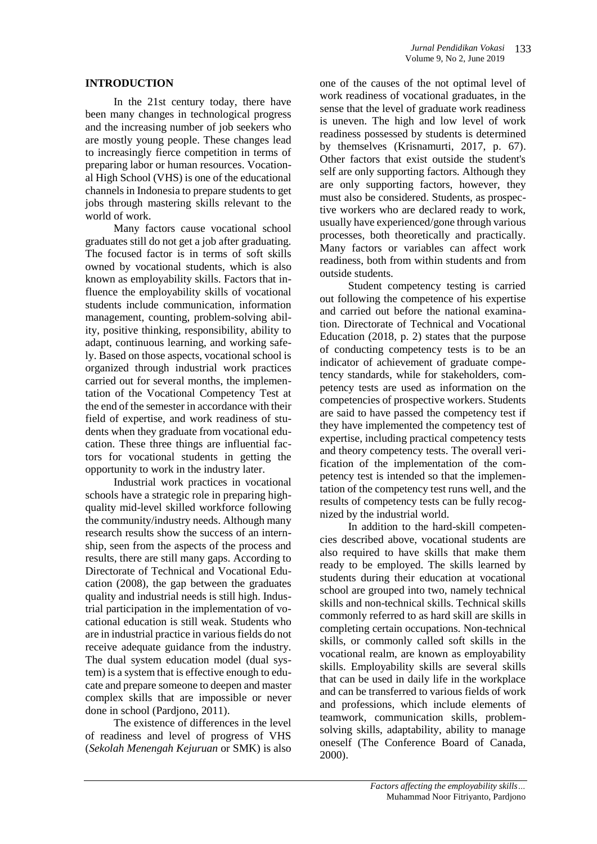#### **INTRODUCTION**

In the 21st century today, there have been many changes in technological progress and the increasing number of job seekers who are mostly young people. These changes lead to increasingly fierce competition in terms of preparing labor or human resources. Vocational High School (VHS) is one of the educational channels in Indonesia to prepare students to get jobs through mastering skills relevant to the world of work.

Many factors cause vocational school graduates still do not get a job after graduating. The focused factor is in terms of soft skills owned by vocational students, which is also known as employability skills. Factors that influence the employability skills of vocational students include communication, information management, counting, problem-solving ability, positive thinking, responsibility, ability to adapt, continuous learning, and working safely. Based on those aspects, vocational school is organized through industrial work practices carried out for several months, the implementation of the Vocational Competency Test at the end of the semester in accordance with their field of expertise, and work readiness of students when they graduate from vocational education. These three things are influential factors for vocational students in getting the opportunity to work in the industry later.

Industrial work practices in vocational schools have a strategic role in preparing highquality mid-level skilled workforce following the community/industry needs. Although many research results show the success of an internship, seen from the aspects of the process and results, there are still many gaps. According to Directorate of Technical and Vocational Education (2008), the gap between the graduates quality and industrial needs is still high. Industrial participation in the implementation of vocational education is still weak. Students who are in industrial practice in various fields do not receive adequate guidance from the industry. The dual system education model (dual system) is a system that is effective enough to educate and prepare someone to deepen and master complex skills that are impossible or never done in school (Pardjono, 2011).

The existence of differences in the level of readiness and level of progress of VHS (*Sekolah Menengah Kejuruan* or SMK) is also

one of the causes of the not optimal level of work readiness of vocational graduates, in the sense that the level of graduate work readiness is uneven. The high and low level of work readiness possessed by students is determined by themselves (Krisnamurti, 2017, p. 67). Other factors that exist outside the student's self are only supporting factors. Although they are only supporting factors, however, they must also be considered. Students, as prospective workers who are declared ready to work, usually have experienced/gone through various processes, both theoretically and practically. Many factors or variables can affect work readiness, both from within students and from outside students.

Student competency testing is carried out following the competence of his expertise and carried out before the national examination. Directorate of Technical and Vocational Education (2018, p. 2) states that the purpose of conducting competency tests is to be an indicator of achievement of graduate competency standards, while for stakeholders, competency tests are used as information on the competencies of prospective workers. Students are said to have passed the competency test if they have implemented the competency test of expertise, including practical competency tests and theory competency tests. The overall verification of the implementation of the competency test is intended so that the implementation of the competency test runs well, and the results of competency tests can be fully recognized by the industrial world.

In addition to the hard-skill competencies described above, vocational students are also required to have skills that make them ready to be employed. The skills learned by students during their education at vocational school are grouped into two, namely technical skills and non-technical skills. Technical skills commonly referred to as hard skill are skills in completing certain occupations. Non-technical skills, or commonly called soft skills in the vocational realm, are known as employability skills. Employability skills are several skills that can be used in daily life in the workplace and can be transferred to various fields of work and professions, which include elements of teamwork, communication skills, problemsolving skills, adaptability, ability to manage oneself (The Conference Board of Canada, 2000).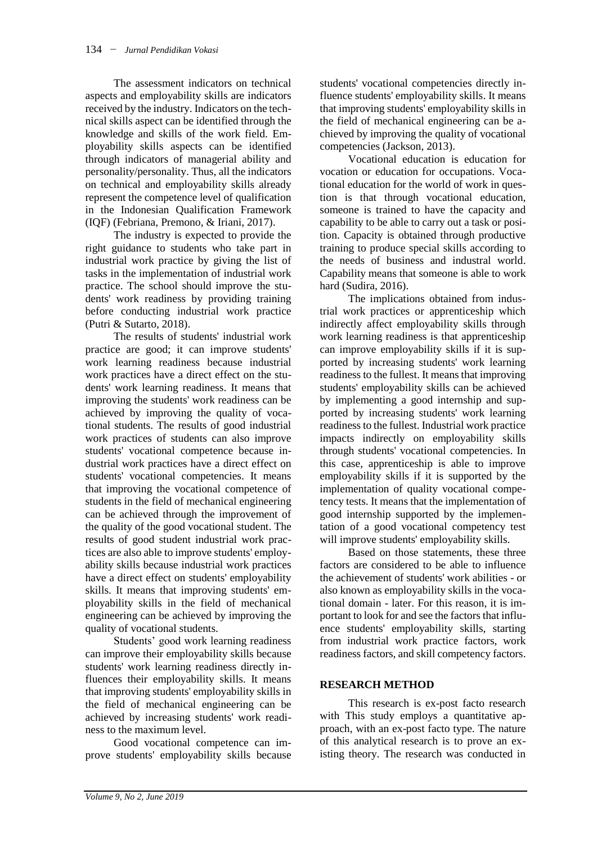The assessment indicators on technical aspects and employability skills are indicators received by the industry. Indicators on the technical skills aspect can be identified through the knowledge and skills of the work field. Employability skills aspects can be identified through indicators of managerial ability and personality/personality. Thus, all the indicators on technical and employability skills already represent the competence level of qualification in the Indonesian Qualification Framework (IQF) (Febriana, Premono, & Iriani, 2017).

The industry is expected to provide the right guidance to students who take part in industrial work practice by giving the list of tasks in the implementation of industrial work practice. The school should improve the students' work readiness by providing training before conducting industrial work practice (Putri & Sutarto, 2018).

The results of students' industrial work practice are good; it can improve students' work learning readiness because industrial work practices have a direct effect on the students' work learning readiness. It means that improving the students' work readiness can be achieved by improving the quality of vocational students. The results of good industrial work practices of students can also improve students' vocational competence because industrial work practices have a direct effect on students' vocational competencies. It means that improving the vocational competence of students in the field of mechanical engineering can be achieved through the improvement of the quality of the good vocational student. The results of good student industrial work practices are also able to improve students' employability skills because industrial work practices have a direct effect on students' employability skills. It means that improving students' employability skills in the field of mechanical engineering can be achieved by improving the quality of vocational students.

Students' good work learning readiness can improve their employability skills because students' work learning readiness directly influences their employability skills. It means that improving students' employability skills in the field of mechanical engineering can be achieved by increasing students' work readiness to the maximum level.

Good vocational competence can improve students' employability skills because students' vocational competencies directly influence students' employability skills. It means that improving students' employability skills in the field of mechanical engineering can be achieved by improving the quality of vocational competencies (Jackson, 2013).

Vocational education is education for vocation or education for occupations. Vocational education for the world of work in question is that through vocational education, someone is trained to have the capacity and capability to be able to carry out a task or position. Capacity is obtained through productive training to produce special skills according to the needs of business and industral world. Capability means that someone is able to work hard (Sudira, 2016).

The implications obtained from industrial work practices or apprenticeship which indirectly affect employability skills through work learning readiness is that apprenticeship can improve employability skills if it is supported by increasing students' work learning readiness to the fullest. It means that improving students' employability skills can be achieved by implementing a good internship and supported by increasing students' work learning readiness to the fullest. Industrial work practice impacts indirectly on employability skills through students' vocational competencies. In this case, apprenticeship is able to improve employability skills if it is supported by the implementation of quality vocational competency tests. It means that the implementation of good internship supported by the implementation of a good vocational competency test will improve students' employability skills.

Based on those statements, these three factors are considered to be able to influence the achievement of students' work abilities - or also known as employability skills in the vocational domain - later. For this reason, it is important to look for and see the factors that influence students' employability skills, starting from industrial work practice factors, work readiness factors, and skill competency factors.

## **RESEARCH METHOD**

This research is ex-post facto research with This study employs a quantitative approach, with an ex-post facto type. The nature of this analytical research is to prove an existing theory. The research was conducted in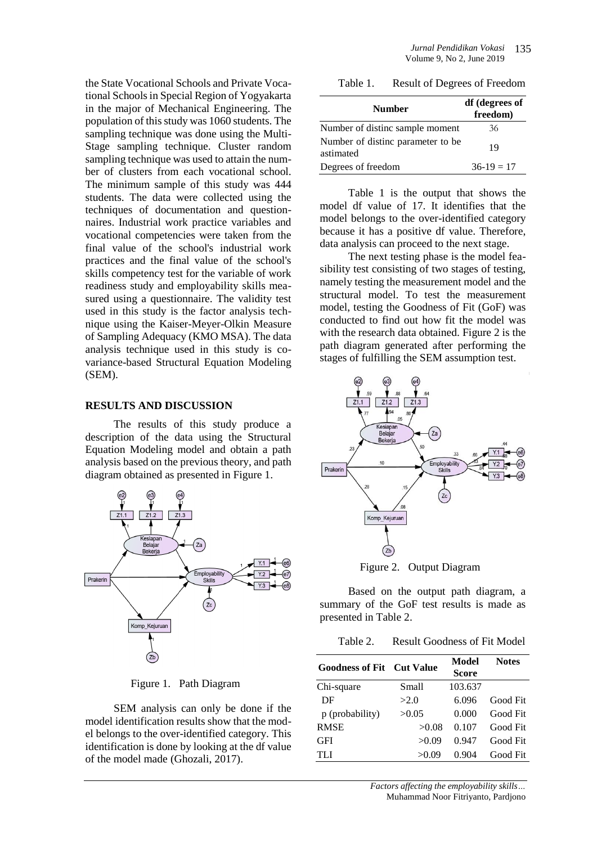the State Vocational Schools and Private Vocational Schools in Special Region of Yogyakarta in the major of Mechanical Engineering. The population of this study was 1060 students. The sampling technique was done using the Multi-Stage sampling technique. Cluster random sampling technique was used to attain the number of clusters from each vocational school. The minimum sample of this study was 444 students. The data were collected using the techniques of documentation and questionnaires. Industrial work practice variables and vocational competencies were taken from the final value of the school's industrial work practices and the final value of the school's skills competency test for the variable of work readiness study and employability skills measured using a questionnaire. The validity test used in this study is the factor analysis technique using the Kaiser-Meyer-Olkin Measure of Sampling Adequacy (KMO MSA). The data analysis technique used in this study is covariance-based Structural Equation Modeling (SEM).

#### **RESULTS AND DISCUSSION**

The results of this study produce a description of the data using the Structural Equation Modeling model and obtain a path analysis based on the previous theory, and path diagram obtained as presented in Figure 1.



Figure 1. Path Diagram

SEM analysis can only be done if the model identification results show that the model belongs to the over-identified category. This identification is done by looking at the df value of the model made (Ghozali, 2017).

Table 1. Result of Degrees of Freedom

| <b>Number</b>                                  | df (degrees of<br>freedom) |  |
|------------------------------------------------|----------------------------|--|
| Number of distinc sample moment                | 36                         |  |
| Number of distinc parameter to be<br>astimated | 19                         |  |
| Degrees of freedom                             | $36-19=17$                 |  |

Table 1 is the output that shows the model df value of 17. It identifies that the model belongs to the over-identified category because it has a positive df value. Therefore, data analysis can proceed to the next stage.

The next testing phase is the model feasibility test consisting of two stages of testing, namely testing the measurement model and the structural model. To test the measurement model, testing the Goodness of Fit (GoF) was conducted to find out how fit the model was with the research data obtained. Figure 2 is the path diagram generated after performing the stages of fulfilling the SEM assumption test.



Figure 2. Output Diagram

Based on the output path diagram, a summary of the GoF test results is made as presented in Table 2.

Table 2. Result Goodness of Fit Model

| <b>Goodness of Fit</b> Cut Value |        | Model<br><b>Score</b> | <b>Notes</b> |
|----------------------------------|--------|-----------------------|--------------|
| Chi-square                       | Small  | 103.637               |              |
| DF                               | >2.0   | 6.096                 | Good Fit     |
| p (probability)                  | >0.05  | 0.000                 | Good Fit     |
| <b>RMSE</b>                      | >0.08  | 0.107                 | Good Fit     |
| GFI                              | >0.09  | 0.947                 | Good Fit     |
| TLI                              | > 0.09 | 0.904                 | Good Fit     |

*Factors affecting the employability skills…* Muhammad Noor Fitriyanto, Pardjono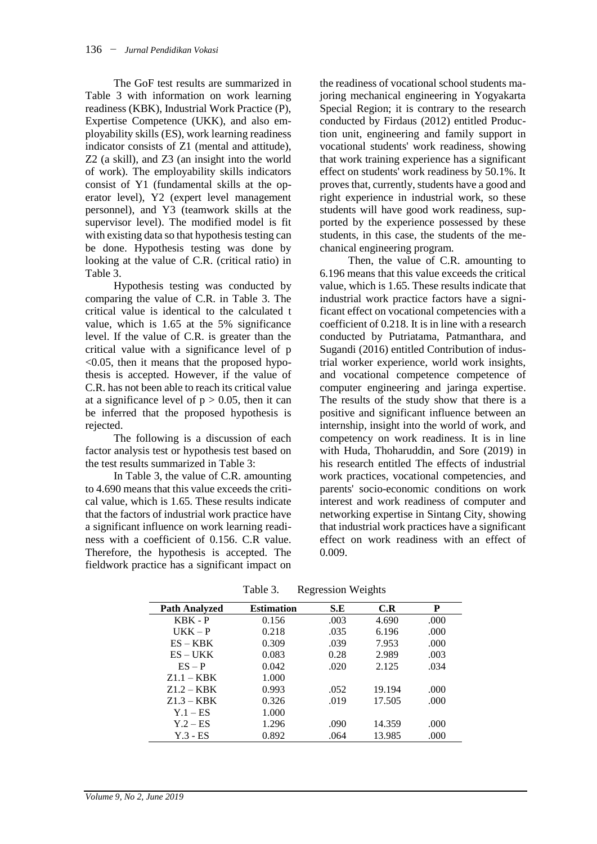The GoF test results are summarized in Table 3 with information on work learning readiness (KBK), Industrial Work Practice (P), Expertise Competence (UKK), and also employability skills (ES), work learning readiness indicator consists of Z1 (mental and attitude), Z2 (a skill), and Z3 (an insight into the world of work). The employability skills indicators consist of Y1 (fundamental skills at the operator level), Y2 (expert level management personnel), and Y3 (teamwork skills at the supervisor level). The modified model is fit with existing data so that hypothesis testing can be done. Hypothesis testing was done by looking at the value of C.R. (critical ratio) in Table 3.

Hypothesis testing was conducted by comparing the value of C.R. in Table 3. The critical value is identical to the calculated t value, which is 1.65 at the 5% significance level. If the value of C.R. is greater than the critical value with a significance level of p  $<$ 0.05, then it means that the proposed hypothesis is accepted. However, if the value of C.R. has not been able to reach its critical value at a significance level of  $p > 0.05$ , then it can be inferred that the proposed hypothesis is rejected.

The following is a discussion of each factor analysis test or hypothesis test based on the test results summarized in Table 3:

In Table 3, the value of C.R. amounting to 4.690 means that this value exceeds the critical value, which is 1.65. These results indicate that the factors of industrial work practice have a significant influence on work learning readiness with a coefficient of 0.156. C.R value. Therefore, the hypothesis is accepted. The fieldwork practice has a significant impact on

the readiness of vocational school students majoring mechanical engineering in Yogyakarta Special Region; it is contrary to the research conducted by Firdaus (2012) entitled Production unit, engineering and family support in vocational students' work readiness, showing that work training experience has a significant effect on students' work readiness by 50.1%. It proves that, currently, students have a good and right experience in industrial work, so these students will have good work readiness, supported by the experience possessed by these students, in this case, the students of the mechanical engineering program.

Then, the value of C.R. amounting to 6.196 means that this value exceeds the critical value, which is 1.65. These results indicate that industrial work practice factors have a significant effect on vocational competencies with a coefficient of 0.218. It is in line with a research conducted by Putriatama, Patmanthara, and Sugandi (2016) entitled Contribution of industrial worker experience, world work insights, and vocational competence competence of computer engineering and jaringa expertise. The results of the study show that there is a positive and significant influence between an internship, insight into the world of work, and competency on work readiness. It is in line with Huda, Thoharuddin, and Sore (2019) in his research entitled The effects of industrial work practices, vocational competencies, and parents' socio-economic conditions on work interest and work readiness of computer and networking expertise in Sintang City, showing that industrial work practices have a significant effect on work readiness with an effect of 0.009.

| <b>Path Analyzed</b> | <b>Estimation</b> | S.E  | C.R    | P    |
|----------------------|-------------------|------|--------|------|
| KBK - P              | 0.156             | .003 | 4.690  | .000 |
| $UKK - P$            | 0.218             | .035 | 6.196  | .000 |
| $ES - KBK$           | 0.309             | .039 | 7.953  | .000 |
| ES – UKK             | 0.083             | 0.28 | 2.989  | .003 |
| $ES - P$             | 0.042             | .020 | 2.125  | .034 |
| $Z1.1 - KBK$         | 1.000             |      |        |      |
| $Z1.2 - KBK$         | 0.993             | .052 | 19.194 | .000 |
| $Z1.3 - KBK$         | 0.326             | .019 | 17.505 | .000 |
| $Y.1 - ES$           | 1.000             |      |        |      |
| $Y.2 - ES$           | 1.296             | .090 | 14.359 | .000 |
| $Y.3 - ES$           | 0.892             | .064 | 13.985 | .000 |

Table 3. Regression Weights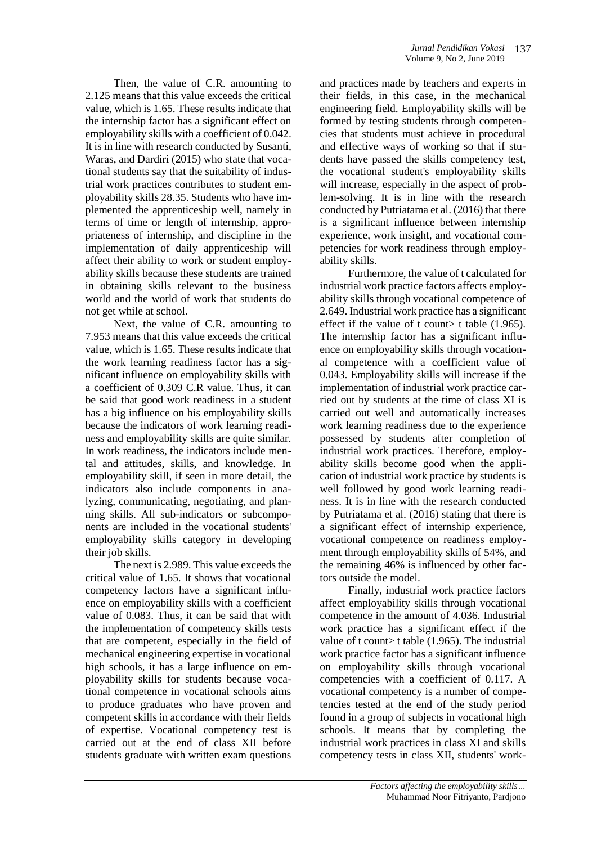Then, the value of C.R. amounting to 2.125 means that this value exceeds the critical value, which is 1.65. These results indicate that the internship factor has a significant effect on employability skills with a coefficient of 0.042. It is in line with research conducted by Susanti, Waras, and Dardiri (2015) who state that vocational students say that the suitability of industrial work practices contributes to student employability skills 28.35. Students who have implemented the apprenticeship well, namely in terms of time or length of internship, appropriateness of internship, and discipline in the implementation of daily apprenticeship will affect their ability to work or student employability skills because these students are trained in obtaining skills relevant to the business world and the world of work that students do not get while at school.

Next, the value of C.R. amounting to 7.953 means that this value exceeds the critical value, which is 1.65. These results indicate that the work learning readiness factor has a significant influence on employability skills with a coefficient of 0.309 C.R value. Thus, it can be said that good work readiness in a student has a big influence on his employability skills because the indicators of work learning readiness and employability skills are quite similar. In work readiness, the indicators include mental and attitudes, skills, and knowledge. In employability skill, if seen in more detail, the indicators also include components in analyzing, communicating, negotiating, and planning skills. All sub-indicators or subcomponents are included in the vocational students' employability skills category in developing their job skills.

The next is 2.989. This value exceeds the critical value of 1.65. It shows that vocational competency factors have a significant influence on employability skills with a coefficient value of 0.083. Thus, it can be said that with the implementation of competency skills tests that are competent, especially in the field of mechanical engineering expertise in vocational high schools, it has a large influence on employability skills for students because vocational competence in vocational schools aims to produce graduates who have proven and competent skills in accordance with their fields of expertise. Vocational competency test is carried out at the end of class XII before students graduate with written exam questions and practices made by teachers and experts in their fields, in this case, in the mechanical engineering field. Employability skills will be formed by testing students through competencies that students must achieve in procedural and effective ways of working so that if students have passed the skills competency test, the vocational student's employability skills will increase, especially in the aspect of problem-solving. It is in line with the research conducted by Putriatama et al. (2016) that there is a significant influence between internship experience, work insight, and vocational competencies for work readiness through employability skills.

Furthermore, the value of t calculated for industrial work practice factors affects employability skills through vocational competence of 2.649. Industrial work practice has a significant effect if the value of t count t table  $(1.965)$ . The internship factor has a significant influence on employability skills through vocational competence with a coefficient value of 0.043. Employability skills will increase if the implementation of industrial work practice carried out by students at the time of class XI is carried out well and automatically increases work learning readiness due to the experience possessed by students after completion of industrial work practices. Therefore, employability skills become good when the application of industrial work practice by students is well followed by good work learning readiness. It is in line with the research conducted by Putriatama et al. (2016) stating that there is a significant effect of internship experience, vocational competence on readiness employment through employability skills of 54%, and the remaining 46% is influenced by other factors outside the model.

Finally, industrial work practice factors affect employability skills through vocational competence in the amount of 4.036. Industrial work practice has a significant effect if the value of t count> t table  $(1.965)$ . The industrial work practice factor has a significant influence on employability skills through vocational competencies with a coefficient of 0.117. A vocational competency is a number of competencies tested at the end of the study period found in a group of subjects in vocational high schools. It means that by completing the industrial work practices in class XI and skills competency tests in class XII, students' work-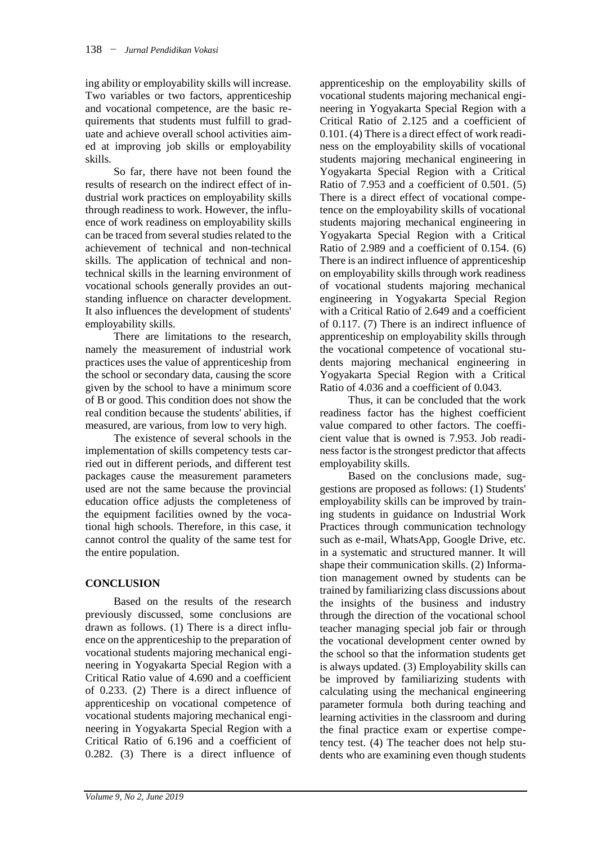ing ability or employability skills will increase. Two variables or two factors, apprenticeship and vocational competence, are the basic requirements that students must fulfill to graduate and achieve overall school activities aimed at improving job skills or employability skills.

So far, there have not been found the results of research on the indirect effect of industrial work practices on employability skills through readiness to work. However, the influence of work readiness on employability skills can be traced from several studies related to the achievement of technical and non-technical skills. The application of technical and nontechnical skills in the learning environment of vocational schools generally provides an outstanding influence on character development. It also influences the development of students' employability skills.

There are limitations to the research, namely the measurement of industrial work practices uses the value of apprenticeship from the school or secondary data, causing the score given by the school to have a minimum score of B or good. This condition does not show the real condition because the students' abilities, if measured, are various, from low to very high.

The existence of several schools in the implementation of skills competency tests carried out in different periods, and different test packages cause the measurement parameters used are not the same because the provincial education office adjusts the completeness of the equipment facilities owned by the vocational high schools. Therefore, in this case, it cannot control the quality of the same test for the entire population.

# **CONCLUSION**

Based on the results of the research previously discussed, some conclusions are drawn as follows. (1) There is a direct influence on the apprenticeship to the preparation of vocational students majoring mechanical engineering in Yogyakarta Special Region with a Critical Ratio value of 4.690 and a coefficient of 0.233. (2) There is a direct influence of apprenticeship on vocational competence of vocational students majoring mechanical engineering in Yogyakarta Special Region with a Critical Ratio of 6.196 and a coefficient of 0.282. (3) There is a direct influence of

apprenticeship on the employability skills of vocational students majoring mechanical engineering in Yogyakarta Special Region with a Critical Ratio of 2.125 and a coefficient of 0.101. (4) There is a direct effect of work readiness on the employability skills of vocational students majoring mechanical engineering in Yogyakarta Special Region with a Critical Ratio of 7.953 and a coefficient of 0.501. (5) There is a direct effect of vocational competence on the employability skills of vocational students majoring mechanical engineering in Yogyakarta Special Region with a Critical Ratio of 2.989 and a coefficient of 0.154. (6) There is an indirect influence of apprenticeship on employability skills through work readiness of vocational students majoring mechanical engineering in Yogyakarta Special Region with a Critical Ratio of 2.649 and a coefficient of 0.117. (7) There is an indirect influence of apprenticeship on employability skills through the vocational competence of vocational students majoring mechanical engineering in Yogyakarta Special Region with a Critical Ratio of 4.036 and a coefficient of 0.043.

Thus, it can be concluded that the work readiness factor has the highest coefficient value compared to other factors. The coefficient value that is owned is 7.953. Job readiness factor is the strongest predictor that affects employability skills.

Based on the conclusions made, suggestions are proposed as follows: (1) Students' employability skills can be improved by training students in guidance on Industrial Work Practices through communication technology such as e-mail, WhatsApp, Google Drive, etc. in a systematic and structured manner. It will shape their communication skills. (2) Information management owned by students can be trained by familiarizing class discussions about the insights of the business and industry through the direction of the vocational school teacher managing special job fair or through the vocational development center owned by the school so that the information students get is always updated. (3) Employability skills can be improved by familiarizing students with calculating using the mechanical engineering parameter formula both during teaching and learning activities in the classroom and during the final practice exam or expertise competency test. (4) The teacher does not help students who are examining even though students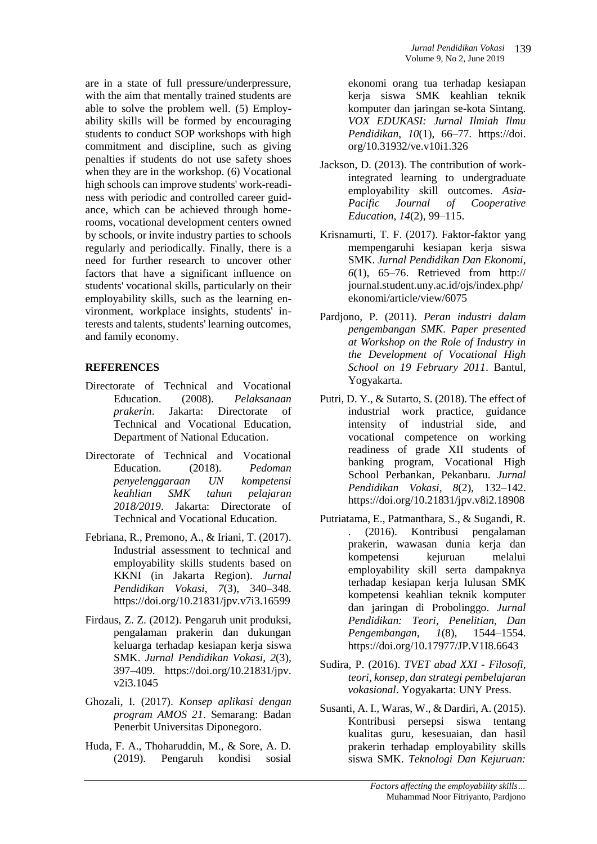are in a state of full pressure/underpressure, with the aim that mentally trained students are able to solve the problem well. (5) Employability skills will be formed by encouraging students to conduct SOP workshops with high commitment and discipline, such as giving penalties if students do not use safety shoes when they are in the workshop. (6) Vocational high schools can improve students' work-readiness with periodic and controlled career guidance, which can be achieved through homerooms, vocational development centers owned by schools, or invite industry parties to schools regularly and periodically. Finally, there is a need for further research to uncover other factors that have a significant influence on students' vocational skills, particularly on their employability skills, such as the learning environment, workplace insights, students' interests and talents, students' learning outcomes, and family economy.

## **REFERENCES**

- Directorate of Technical and Vocational Education. (2008). *Pelaksanaan prakerin*. Jakarta: Directorate of Technical and Vocational Education, Department of National Education.
- Directorate of Technical and Vocational Education. (2018). *Pedoman penyelenggaraan UN kompetensi keahlian SMK tahun pelajaran 2018/2019*. Jakarta: Directorate of Technical and Vocational Education.
- Febriana, R., Premono, A., & Iriani, T. (2017). Industrial assessment to technical and employability skills students based on KKNI (in Jakarta Region). *Jurnal Pendidikan Vokasi*, *7*(3), 340–348. https://doi.org/10.21831/jpv.v7i3.16599
- Firdaus, Z. Z. (2012). Pengaruh unit produksi, pengalaman prakerin dan dukungan keluarga terhadap kesiapan kerja siswa SMK. *Jurnal Pendidikan Vokasi*, *2*(3), 397–409. https://doi.org/10.21831/jpv. v2i3.1045
- Ghozali, I. (2017). *Konsep aplikasi dengan program AMOS 21*. Semarang: Badan Penerbit Universitas Diponegoro.
- Huda, F. A., Thoharuddin, M., & Sore, A. D. (2019). Pengaruh kondisi sosial

ekonomi orang tua terhadap kesiapan kerja siswa SMK keahlian teknik komputer dan jaringan se-kota Sintang. *VOX EDUKASI: Jurnal Ilmiah Ilmu Pendidikan*, *10*(1), 66–77. https://doi. org/10.31932/ve.v10i1.326

- Jackson, D. (2013). The contribution of workintegrated learning to undergraduate employability skill outcomes. *Asia-Pacific Journal of Cooperative Education*, *14*(2), 99–115.
- Krisnamurti, T. F. (2017). Faktor-faktor yang mempengaruhi kesiapan kerja siswa SMK. *Jurnal Pendidikan Dan Ekonomi*, *6*(1), 65–76. Retrieved from http:// journal.student.uny.ac.id/ojs/index.php/ ekonomi/article/view/6075
- Pardjono, P. (2011). *Peran industri dalam pengembangan SMK*. *Paper presented at Workshop on the Role of Industry in the Development of Vocational High School on 19 February 2011*. Bantul, Yogyakarta.
- Putri, D. Y., & Sutarto, S. (2018). The effect of industrial work practice, guidance intensity of industrial side, and vocational competence on working readiness of grade XII students of banking program, Vocational High School Perbankan, Pekanbaru. *Jurnal Pendidikan Vokasi*, *8*(2), 132–142. https://doi.org/10.21831/jpv.v8i2.18908
- Putriatama, E., Patmanthara, S., & Sugandi, R. . (2016). Kontribusi pengalaman prakerin, wawasan dunia kerja dan kompetensi kejuruan melalui employability skill serta dampaknya terhadap kesiapan kerja lulusan SMK kompetensi keahlian teknik komputer dan jaringan di Probolinggo. *Jurnal Pendidikan: Teori, Penelitian, Dan Pengembangan*, *1*(8), 1544–1554. https://doi.org/10.17977/JP.V1I8.6643
- Sudira, P. (2016). *TVET abad XXI - Filosofi, teori, konsep, dan strategi pembelajaran vokasional*. Yogyakarta: UNY Press.
- Susanti, A. I., Waras, W., & Dardiri, A. (2015). Kontribusi persepsi siswa tentang kualitas guru, kesesuaian, dan hasil prakerin terhadap employability skills siswa SMK. *Teknologi Dan Kejuruan:*